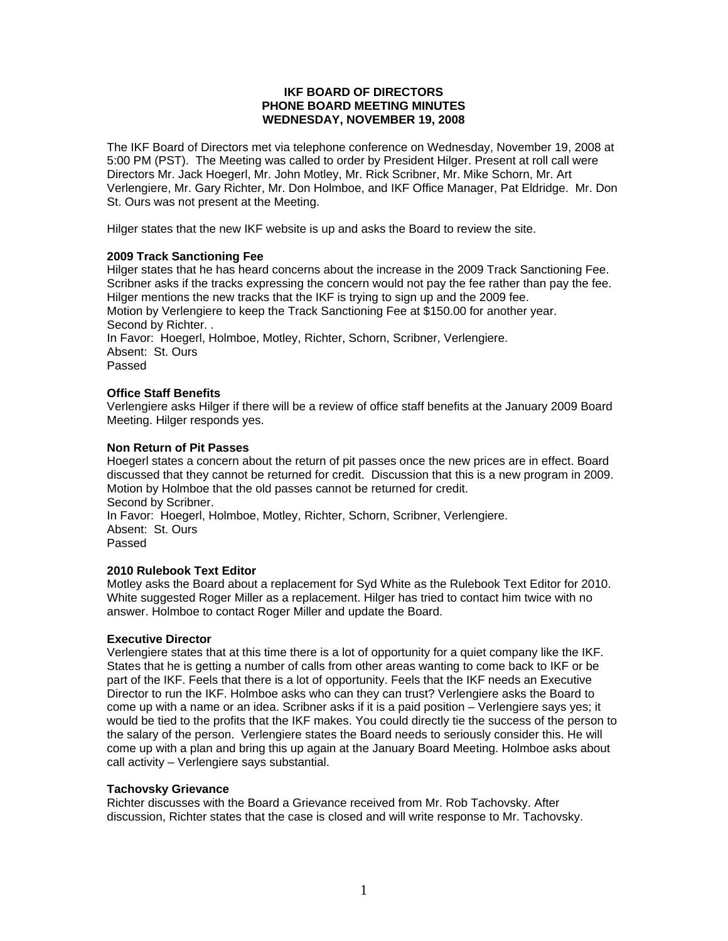### **IKF BOARD OF DIRECTORS PHONE BOARD MEETING MINUTES WEDNESDAY, NOVEMBER 19, 2008**

The IKF Board of Directors met via telephone conference on Wednesday, November 19, 2008 at 5:00 PM (PST). The Meeting was called to order by President Hilger. Present at roll call were Directors Mr. Jack Hoegerl, Mr. John Motley, Mr. Rick Scribner, Mr. Mike Schorn, Mr. Art Verlengiere, Mr. Gary Richter, Mr. Don Holmboe, and IKF Office Manager, Pat Eldridge. Mr. Don St. Ours was not present at the Meeting.

Hilger states that the new IKF website is up and asks the Board to review the site.

### **2009 Track Sanctioning Fee**

Hilger states that he has heard concerns about the increase in the 2009 Track Sanctioning Fee. Scribner asks if the tracks expressing the concern would not pay the fee rather than pay the fee. Hilger mentions the new tracks that the IKF is trying to sign up and the 2009 fee. Motion by Verlengiere to keep the Track Sanctioning Fee at \$150.00 for another year. Second by Richter. . In Favor: Hoegerl, Holmboe, Motley, Richter, Schorn, Scribner, Verlengiere. Absent: St. Ours

Passed

# **Office Staff Benefits**

Verlengiere asks Hilger if there will be a review of office staff benefits at the January 2009 Board Meeting. Hilger responds yes.

## **Non Return of Pit Passes**

Hoegerl states a concern about the return of pit passes once the new prices are in effect. Board discussed that they cannot be returned for credit. Discussion that this is a new program in 2009. Motion by Holmboe that the old passes cannot be returned for credit. Second by Scribner. In Favor: Hoegerl, Holmboe, Motley, Richter, Schorn, Scribner, Verlengiere. Absent: St. Ours Passed

### **2010 Rulebook Text Editor**

Motley asks the Board about a replacement for Syd White as the Rulebook Text Editor for 2010. White suggested Roger Miller as a replacement. Hilger has tried to contact him twice with no answer. Holmboe to contact Roger Miller and update the Board.

### **Executive Director**

Verlengiere states that at this time there is a lot of opportunity for a quiet company like the IKF. States that he is getting a number of calls from other areas wanting to come back to IKF or be part of the IKF. Feels that there is a lot of opportunity. Feels that the IKF needs an Executive Director to run the IKF. Holmboe asks who can they can trust? Verlengiere asks the Board to come up with a name or an idea. Scribner asks if it is a paid position – Verlengiere says yes; it would be tied to the profits that the IKF makes. You could directly tie the success of the person to the salary of the person. Verlengiere states the Board needs to seriously consider this. He will come up with a plan and bring this up again at the January Board Meeting. Holmboe asks about call activity – Verlengiere says substantial.

### **Tachovsky Grievance**

Richter discusses with the Board a Grievance received from Mr. Rob Tachovsky. After discussion, Richter states that the case is closed and will write response to Mr. Tachovsky.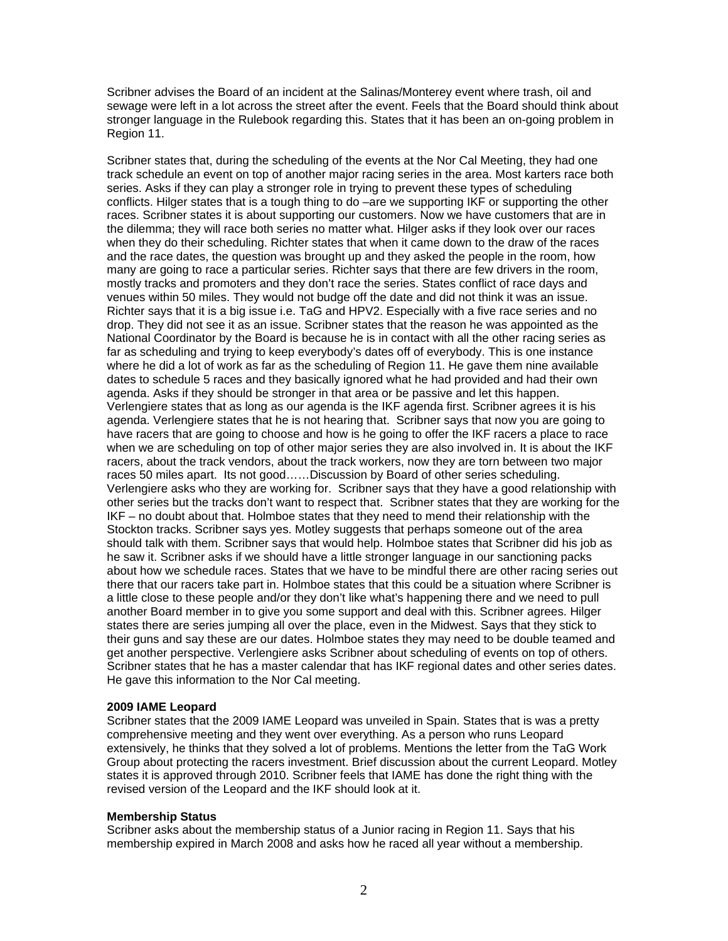Scribner advises the Board of an incident at the Salinas/Monterey event where trash, oil and sewage were left in a lot across the street after the event. Feels that the Board should think about stronger language in the Rulebook regarding this. States that it has been an on-going problem in Region 11.

Scribner states that, during the scheduling of the events at the Nor Cal Meeting, they had one track schedule an event on top of another major racing series in the area. Most karters race both series. Asks if they can play a stronger role in trying to prevent these types of scheduling conflicts. Hilger states that is a tough thing to do –are we supporting IKF or supporting the other races. Scribner states it is about supporting our customers. Now we have customers that are in the dilemma; they will race both series no matter what. Hilger asks if they look over our races when they do their scheduling. Richter states that when it came down to the draw of the races and the race dates, the question was brought up and they asked the people in the room, how many are going to race a particular series. Richter says that there are few drivers in the room, mostly tracks and promoters and they don't race the series. States conflict of race days and venues within 50 miles. They would not budge off the date and did not think it was an issue. Richter says that it is a big issue i.e. TaG and HPV2. Especially with a five race series and no drop. They did not see it as an issue. Scribner states that the reason he was appointed as the National Coordinator by the Board is because he is in contact with all the other racing series as far as scheduling and trying to keep everybody's dates off of everybody. This is one instance where he did a lot of work as far as the scheduling of Region 11. He gave them nine available dates to schedule 5 races and they basically ignored what he had provided and had their own agenda. Asks if they should be stronger in that area or be passive and let this happen. Verlengiere states that as long as our agenda is the IKF agenda first. Scribner agrees it is his agenda. Verlengiere states that he is not hearing that. Scribner says that now you are going to have racers that are going to choose and how is he going to offer the IKF racers a place to race when we are scheduling on top of other major series they are also involved in. It is about the IKF racers, about the track vendors, about the track workers, now they are torn between two major races 50 miles apart. Its not good……Discussion by Board of other series scheduling. Verlengiere asks who they are working for. Scribner says that they have a good relationship with other series but the tracks don't want to respect that. Scribner states that they are working for the IKF – no doubt about that. Holmboe states that they need to mend their relationship with the Stockton tracks. Scribner says yes. Motley suggests that perhaps someone out of the area should talk with them. Scribner says that would help. Holmboe states that Scribner did his job as he saw it. Scribner asks if we should have a little stronger language in our sanctioning packs about how we schedule races. States that we have to be mindful there are other racing series out there that our racers take part in. Holmboe states that this could be a situation where Scribner is a little close to these people and/or they don't like what's happening there and we need to pull another Board member in to give you some support and deal with this. Scribner agrees. Hilger states there are series jumping all over the place, even in the Midwest. Says that they stick to their guns and say these are our dates. Holmboe states they may need to be double teamed and get another perspective. Verlengiere asks Scribner about scheduling of events on top of others. Scribner states that he has a master calendar that has IKF regional dates and other series dates. He gave this information to the Nor Cal meeting.

### **2009 IAME Leopard**

Scribner states that the 2009 IAME Leopard was unveiled in Spain. States that is was a pretty comprehensive meeting and they went over everything. As a person who runs Leopard extensively, he thinks that they solved a lot of problems. Mentions the letter from the TaG Work Group about protecting the racers investment. Brief discussion about the current Leopard. Motley states it is approved through 2010. Scribner feels that IAME has done the right thing with the revised version of the Leopard and the IKF should look at it.

### **Membership Status**

Scribner asks about the membership status of a Junior racing in Region 11. Says that his membership expired in March 2008 and asks how he raced all year without a membership.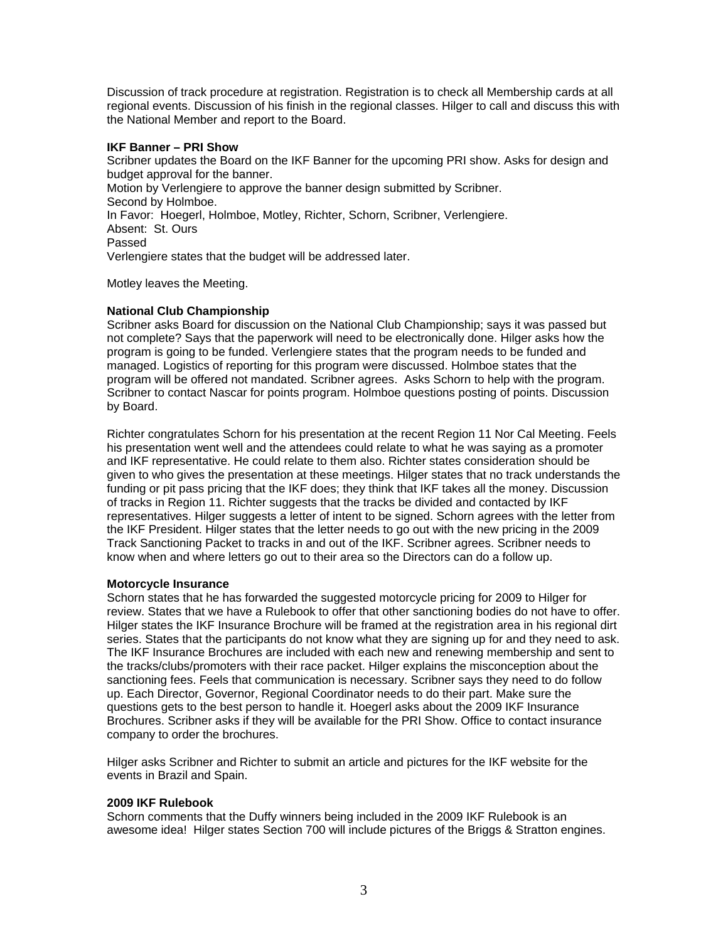Discussion of track procedure at registration. Registration is to check all Membership cards at all regional events. Discussion of his finish in the regional classes. Hilger to call and discuss this with the National Member and report to the Board.

## **IKF Banner – PRI Show**

Scribner updates the Board on the IKF Banner for the upcoming PRI show. Asks for design and budget approval for the banner. Motion by Verlengiere to approve the banner design submitted by Scribner. Second by Holmboe. In Favor: Hoegerl, Holmboe, Motley, Richter, Schorn, Scribner, Verlengiere. Absent: St. Ours Passed Verlengiere states that the budget will be addressed later.

Motley leaves the Meeting.

## **National Club Championship**

Scribner asks Board for discussion on the National Club Championship; says it was passed but not complete? Says that the paperwork will need to be electronically done. Hilger asks how the program is going to be funded. Verlengiere states that the program needs to be funded and managed. Logistics of reporting for this program were discussed. Holmboe states that the program will be offered not mandated. Scribner agrees. Asks Schorn to help with the program. Scribner to contact Nascar for points program. Holmboe questions posting of points. Discussion by Board.

Richter congratulates Schorn for his presentation at the recent Region 11 Nor Cal Meeting. Feels his presentation went well and the attendees could relate to what he was saying as a promoter and IKF representative. He could relate to them also. Richter states consideration should be given to who gives the presentation at these meetings. Hilger states that no track understands the funding or pit pass pricing that the IKF does; they think that IKF takes all the money. Discussion of tracks in Region 11. Richter suggests that the tracks be divided and contacted by IKF representatives. Hilger suggests a letter of intent to be signed. Schorn agrees with the letter from the IKF President. Hilger states that the letter needs to go out with the new pricing in the 2009 Track Sanctioning Packet to tracks in and out of the IKF. Scribner agrees. Scribner needs to know when and where letters go out to their area so the Directors can do a follow up.

### **Motorcycle Insurance**

Schorn states that he has forwarded the suggested motorcycle pricing for 2009 to Hilger for review. States that we have a Rulebook to offer that other sanctioning bodies do not have to offer. Hilger states the IKF Insurance Brochure will be framed at the registration area in his regional dirt series. States that the participants do not know what they are signing up for and they need to ask. The IKF Insurance Brochures are included with each new and renewing membership and sent to the tracks/clubs/promoters with their race packet. Hilger explains the misconception about the sanctioning fees. Feels that communication is necessary. Scribner says they need to do follow up. Each Director, Governor, Regional Coordinator needs to do their part. Make sure the questions gets to the best person to handle it. Hoegerl asks about the 2009 IKF Insurance Brochures. Scribner asks if they will be available for the PRI Show. Office to contact insurance company to order the brochures.

Hilger asks Scribner and Richter to submit an article and pictures for the IKF website for the events in Brazil and Spain.

### **2009 IKF Rulebook**

Schorn comments that the Duffy winners being included in the 2009 IKF Rulebook is an awesome idea! Hilger states Section 700 will include pictures of the Briggs & Stratton engines.